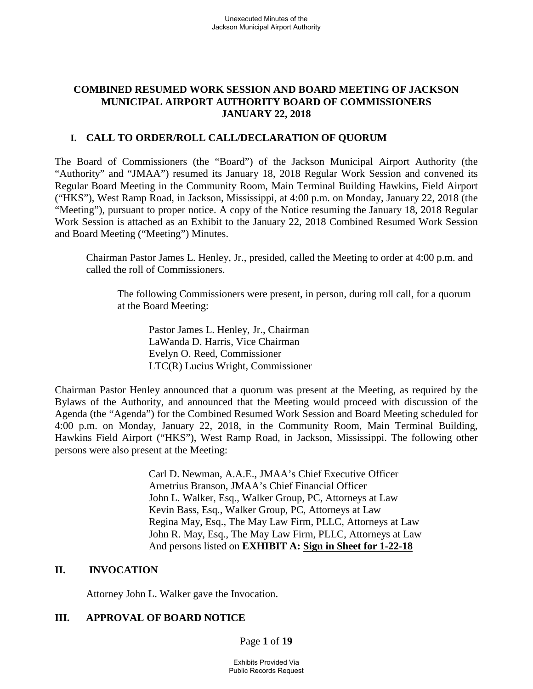# **COMBINED RESUMED WORK SESSION AND BOARD MEETING OF JACKSON MUNICIPAL AIRPORT AUTHORITY BOARD OF COMMISSIONERS JANUARY 22, 2018**

### **I. CALL TO ORDER/ROLL CALL/DECLARATION OF QUORUM**

The Board of Commissioners (the "Board") of the Jackson Municipal Airport Authority (the "Authority" and "JMAA") resumed its January 18, 2018 Regular Work Session and convened its Regular Board Meeting in the Community Room, Main Terminal Building Hawkins, Field Airport ("HKS"), West Ramp Road, in Jackson, Mississippi, at 4:00 p.m. on Monday, January 22, 2018 (the "Meeting"), pursuant to proper notice. A copy of the Notice resuming the January 18, 2018 Regular Work Session is attached as an Exhibit to the January 22, 2018 Combined Resumed Work Session and Board Meeting ("Meeting") Minutes.

Chairman Pastor James L. Henley, Jr., presided, called the Meeting to order at 4:00 p.m. and called the roll of Commissioners.

The following Commissioners were present, in person, during roll call, for a quorum at the Board Meeting:

Pastor James L. Henley, Jr., Chairman LaWanda D. Harris, Vice Chairman Evelyn O. Reed, Commissioner LTC(R) Lucius Wright, Commissioner

Chairman Pastor Henley announced that a quorum was present at the Meeting, as required by the Bylaws of the Authority, and announced that the Meeting would proceed with discussion of the Agenda (the "Agenda") for the Combined Resumed Work Session and Board Meeting scheduled for 4:00 p.m. on Monday, January 22, 2018, in the Community Room, Main Terminal Building, Hawkins Field Airport ("HKS"), West Ramp Road, in Jackson, Mississippi. The following other persons were also present at the Meeting:

> Carl D. Newman, A.A.E., JMAA's Chief Executive Officer Arnetrius Branson, JMAA's Chief Financial Officer John L. Walker, Esq., Walker Group, PC, Attorneys at Law Kevin Bass, Esq., Walker Group, PC, Attorneys at Law Regina May, Esq., The May Law Firm, PLLC, Attorneys at Law John R. May, Esq., The May Law Firm, PLLC, Attorneys at Law And persons listed on **EXHIBIT A: Sign in Sheet for 1-22-18**

#### **II. INVOCATION**

Attorney John L. Walker gave the Invocation.

# **III. APPROVAL OF BOARD NOTICE**

Page **1** of **19**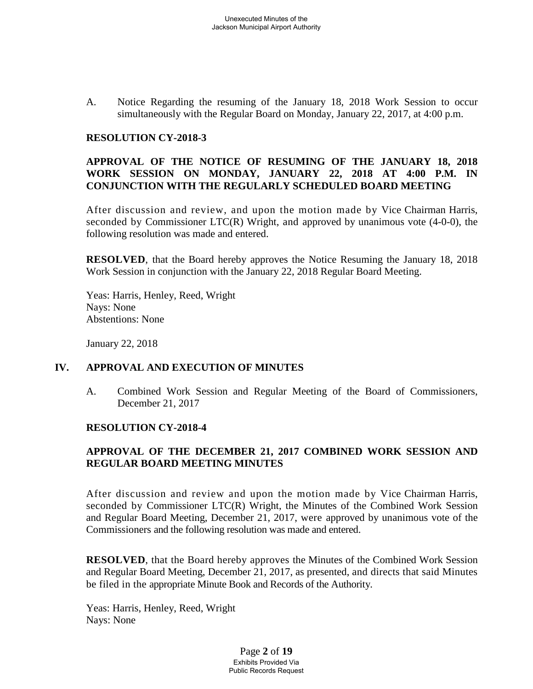A. Notice Regarding the resuming of the January 18, 2018 Work Session to occur simultaneously with the Regular Board on Monday, January 22, 2017, at 4:00 p.m.

#### **RESOLUTION CY-2018-3**

# **APPROVAL OF THE NOTICE OF RESUMING OF THE JANUARY 18, 2018 WORK SESSION ON MONDAY, JANUARY 22, 2018 AT 4:00 P.M. IN CONJUNCTION WITH THE REGULARLY SCHEDULED BOARD MEETING**

After discussion and review, and upon the motion made by Vice Chairman Harris, seconded by Commissioner LTC(R) Wright, and approved by unanimous vote (4-0-0), the following resolution was made and entered.

**RESOLVED**, that the Board hereby approves the Notice Resuming the January 18, 2018 Work Session in conjunction with the January 22, 2018 Regular Board Meeting.

Yeas: Harris, Henley, Reed, Wright Nays: None Abstentions: None

January 22, 2018

#### **IV. APPROVAL AND EXECUTION OF MINUTES**

A. Combined Work Session and Regular Meeting of the Board of Commissioners, December 21, 2017

#### **RESOLUTION CY-2018-4**

# **APPROVAL OF THE DECEMBER 21, 2017 COMBINED WORK SESSION AND REGULAR BOARD MEETING MINUTES**

After discussion and review and upon the motion made by Vice Chairman Harris, seconded by Commissioner LTC(R) Wright, the Minutes of the Combined Work Session and Regular Board Meeting, December 21, 2017, were approved by unanimous vote of the Commissioners and the following resolution was made and entered.

**RESOLVED**, that the Board hereby approves the Minutes of the Combined Work Session and Regular Board Meeting, December 21, 2017, as presented, and directs that said Minutes be filed in the appropriate Minute Book and Records of the Authority.

Yeas: Harris, Henley, Reed, Wright Nays: None

> Page **2** of **19** Exhibits Provided Via Public Records Request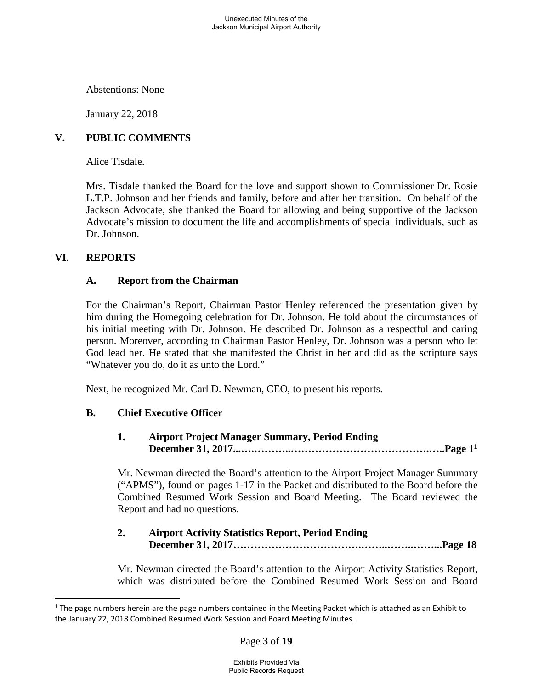Unexecuted Minutes of the Jackson Municipal Airport Authority

Abstentions: None

January 22, 2018

# **V. PUBLIC COMMENTS**

Alice Tisdale.

Mrs. Tisdale thanked the Board for the love and support shown to Commissioner Dr. Rosie L.T.P. Johnson and her friends and family, before and after her transition. On behalf of the Jackson Advocate, she thanked the Board for allowing and being supportive of the Jackson Advocate's mission to document the life and accomplishments of special individuals, such as Dr. Johnson.

### **VI. REPORTS**

#### **A. Report from the Chairman**

For the Chairman's Report, Chairman Pastor Henley referenced the presentation given by him during the Homegoing celebration for Dr. Johnson. He told about the circumstances of his initial meeting with Dr. Johnson. He described Dr. Johnson as a respectful and caring person. Moreover, according to Chairman Pastor Henley, Dr. Johnson was a person who let God lead her. He stated that she manifested the Christ in her and did as the scripture says "Whatever you do, do it as unto the Lord."

Next, he recognized Mr. Carl D. Newman, CEO, to present his reports.

# **B. Chief Executive Officer**

### **1. Airport Project Manager Summary, Period Ending December 31, 2017...….………..………………………………….…..Page1<sup>1</sup>**

Mr. Newman directed the Board's attention to the Airport Project Manager Summary ("APMS"), found on pages 1-17 in the Packet and distributed to the Board before the Combined Resumed Work Session and Board Meeting. The Board reviewed the Report and had no questions.

### **2. Airport Activity Statistics Report, Period Ending December 31, 2017……………………………….……..……..……...Page 18**

Mr. Newman directed the Board's attention to the Airport Activity Statistics Report, which was distributed before the Combined Resumed Work Session and Board

<span id="page-2-0"></span> $1$  The page numbers herein are the page numbers contained in the Meeting Packet which is attached as an Exhibit to the January 22, 2018 Combined Resumed Work Session and Board Meeting Minutes.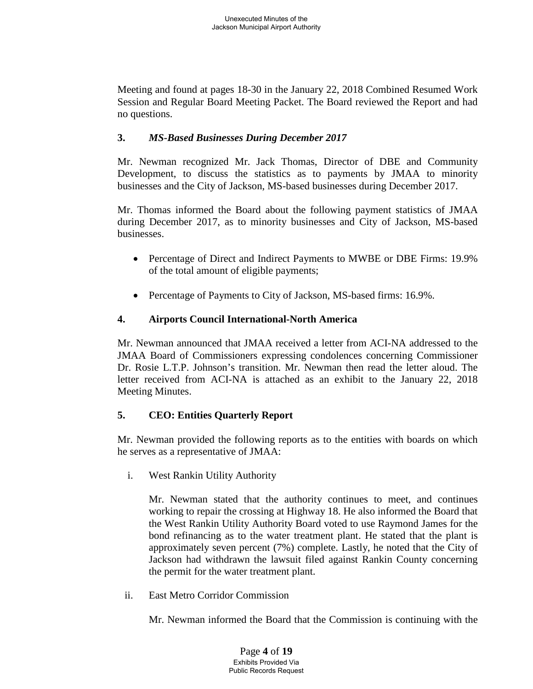Meeting and found at pages 18-30 in the January 22, 2018 Combined Resumed Work Session and Regular Board Meeting Packet. The Board reviewed the Report and had no questions.

# **3.** *MS-Based Businesses During December 2017*

Mr. Newman recognized Mr. Jack Thomas, Director of DBE and Community Development, to discuss the statistics as to payments by JMAA to minority businesses and the City of Jackson, MS-based businesses during December 2017.

Mr. Thomas informed the Board about the following payment statistics of JMAA during December 2017, as to minority businesses and City of Jackson, MS-based businesses.

- Percentage of Direct and Indirect Payments to MWBE or DBE Firms: 19.9% of the total amount of eligible payments;
- Percentage of Payments to City of Jackson, MS-based firms: 16.9%.

# **4. Airports Council International-North America**

Mr. Newman announced that JMAA received a letter from ACI-NA addressed to the JMAA Board of Commissioners expressing condolences concerning Commissioner Dr. Rosie L.T.P. Johnson's transition. Mr. Newman then read the letter aloud. The letter received from ACI-NA is attached as an exhibit to the January 22, 2018 Meeting Minutes.

# **5. CEO: Entities Quarterly Report**

Mr. Newman provided the following reports as to the entities with boards on which he serves as a representative of JMAA:

i. West Rankin Utility Authority

Mr. Newman stated that the authority continues to meet, and continues working to repair the crossing at Highway 18. He also informed the Board that the West Rankin Utility Authority Board voted to use Raymond James for the bond refinancing as to the water treatment plant. He stated that the plant is approximately seven percent (7%) complete. Lastly, he noted that the City of Jackson had withdrawn the lawsuit filed against Rankin County concerning the permit for the water treatment plant.

ii. East Metro Corridor Commission

Mr. Newman informed the Board that the Commission is continuing with the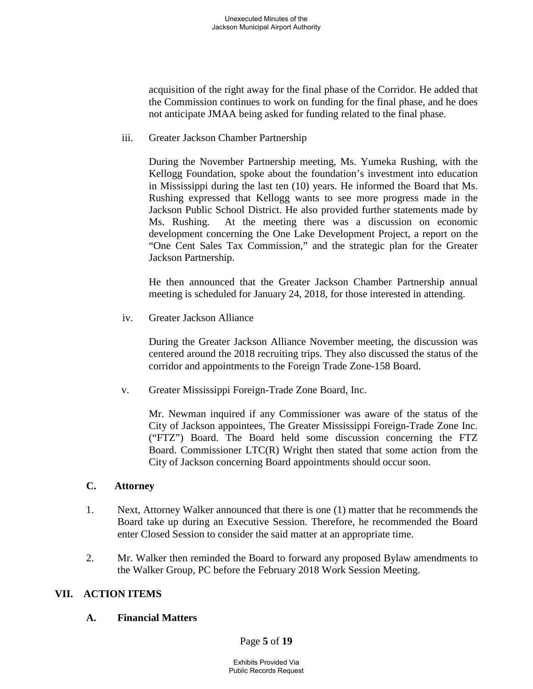acquisition of the right away for the final phase of the Corridor. He added that the Commission continues to work on funding for the final phase, and he does not anticipate JMAA being asked for funding related to the final phase.

iii. Greater Jackson Chamber Partnership

During the November Partnership meeting, Ms. Yumeka Rushing, with the Kellogg Foundation, spoke about the foundation's investment into education in Mississippi during the last ten (10) years. He informed the Board that Ms. Rushing expressed that Kellogg wants to see more progress made in the Jackson Public School District. He also provided further statements made by Ms. Rushing. At the meeting there was a discussion on economic development concerning the One Lake Development Project, a report on the "One Cent Sales Tax Commission," and the strategic plan for the Greater Jackson Partnership.

He then announced that the Greater Jackson Chamber Partnership annual meeting is scheduled for January 24, 2018, for those interested in attending.

iv. Greater Jackson Alliance

During the Greater Jackson Alliance November meeting, the discussion was centered around the 2018 recruiting trips. They also discussed the status of the corridor and appointments to the Foreign Trade Zone-158 Board.

v. Greater Mississippi Foreign-Trade Zone Board, Inc.

Mr. Newman inquired if any Commissioner was aware of the status of the City of Jackson appointees, The Greater Mississippi Foreign-Trade Zone Inc. ("FTZ") Board. The Board held some discussion concerning the FTZ Board. Commissioner LTC(R) Wright then stated that some action from the City of Jackson concerning Board appointments should occur soon.

#### **C. Attorney**

- 1. Next, Attorney Walker announced that there is one (1) matter that he recommends the Board take up during an Executive Session. Therefore, he recommended the Board enter Closed Session to consider the said matter at an appropriate time.
- 2. Mr. Walker then reminded the Board to forward any proposed Bylaw amendments to the Walker Group, PC before the February 2018 Work Session Meeting.

# **VII. ACTION ITEMS**

#### **A. Financial Matters**

Page **5** of **19**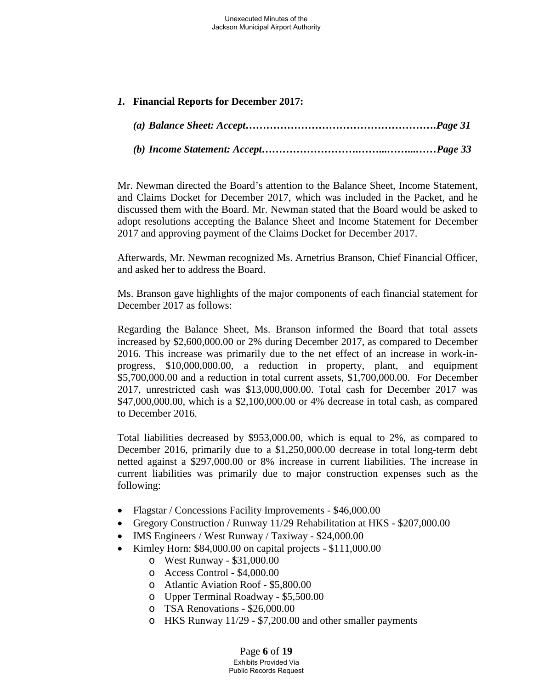### *1.* **Financial Reports for December 2017:**

*(b) Income Statement: Accept……………………….……...……...……Page 33*

Mr. Newman directed the Board's attention to the Balance Sheet, Income Statement, and Claims Docket for December 2017, which was included in the Packet, and he discussed them with the Board. Mr. Newman stated that the Board would be asked to adopt resolutions accepting the Balance Sheet and Income Statement for December 2017 and approving payment of the Claims Docket for December 2017.

Afterwards, Mr. Newman recognized Ms. Arnetrius Branson, Chief Financial Officer, and asked her to address the Board.

Ms. Branson gave highlights of the major components of each financial statement for December 2017 as follows:

Regarding the Balance Sheet, Ms. Branson informed the Board that total assets increased by \$2,600,000.00 or 2% during December 2017, as compared to December 2016. This increase was primarily due to the net effect of an increase in work-inprogress, \$10,000,000.00, a reduction in property, plant, and equipment \$5,700,000.00 and a reduction in total current assets, \$1,700,000.00. For December 2017, unrestricted cash was \$13,000,000.00. Total cash for December 2017 was \$47,000,000.00, which is a \$2,100,000.00 or 4% decrease in total cash, as compared to December 2016.

Total liabilities decreased by \$953,000.00, which is equal to 2%, as compared to December 2016, primarily due to a \$1,250,000.00 decrease in total long-term debt netted against a \$297,000.00 or 8% increase in current liabilities. The increase in current liabilities was primarily due to major construction expenses such as the following:

- Flagstar / Concessions Facility Improvements \$46,000.00
- Gregory Construction / Runway 11/29 Rehabilitation at HKS \$207,000.00
- IMS Engineers / West Runway / Taxiway \$24,000.00
- Kimley Horn: \$84,000.00 on capital projects \$111,000.00
	- o West Runway \$31,000.00
	- o Access Control \$4,000.00
	- o Atlantic Aviation Roof \$5,800.00
	- o Upper Terminal Roadway \$5,500.00
	- o TSA Renovations \$26,000.00
	- o HKS Runway 11/29 \$7,200.00 and other smaller payments

Page **6** of **19** Exhibits Provided Via Public Records Request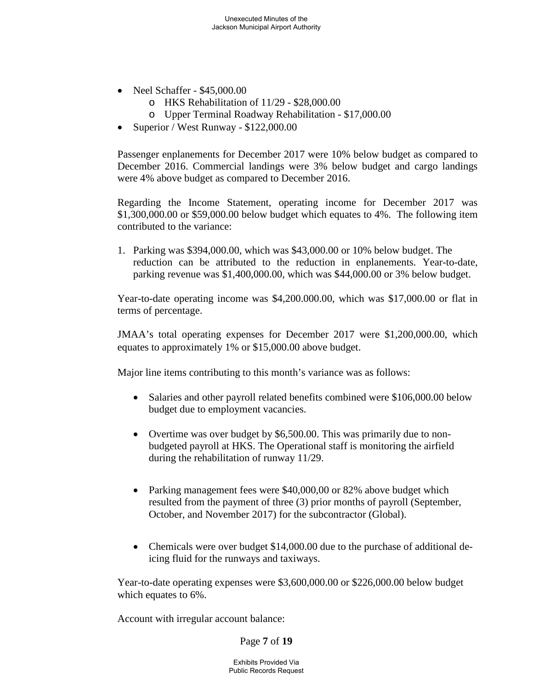- Neel Schaffer \$45,000.00
	- o HKS Rehabilitation of 11/29 \$28,000.00
	- o Upper Terminal Roadway Rehabilitation \$17,000.00
- Superior / West Runway \$122,000.00

Passenger enplanements for December 2017 were 10% below budget as compared to December 2016. Commercial landings were 3% below budget and cargo landings were 4% above budget as compared to December 2016.

Regarding the Income Statement, operating income for December 2017 was \$1,300,000.00 or \$59,000.00 below budget which equates to 4%. The following item contributed to the variance:

1. Parking was \$394,000.00, which was \$43,000.00 or 10% below budget. The reduction can be attributed to the reduction in enplanements. Year-to-date, parking revenue was \$1,400,000.00, which was \$44,000.00 or 3% below budget.

Year-to-date operating income was \$4,200.000.00, which was \$17,000.00 or flat in terms of percentage.

JMAA's total operating expenses for December 2017 were \$1,200,000.00, which equates to approximately 1% or \$15,000.00 above budget.

Major line items contributing to this month's variance was as follows:

- Salaries and other payroll related benefits combined were \$106,000.00 below budget due to employment vacancies.
- Overtime was over budget by \$6,500.00. This was primarily due to nonbudgeted payroll at HKS. The Operational staff is monitoring the airfield during the rehabilitation of runway 11/29.
- Parking management fees were \$40,000,00 or 82% above budget which resulted from the payment of three (3) prior months of payroll (September, October, and November 2017) for the subcontractor (Global).
- Chemicals were over budget \$14,000.00 due to the purchase of additional deicing fluid for the runways and taxiways.

Year-to-date operating expenses were \$3,600,000.00 or \$226,000.00 below budget which equates to 6%.

Account with irregular account balance:

Page **7** of **19**

Exhibits Provided Via Public Records Request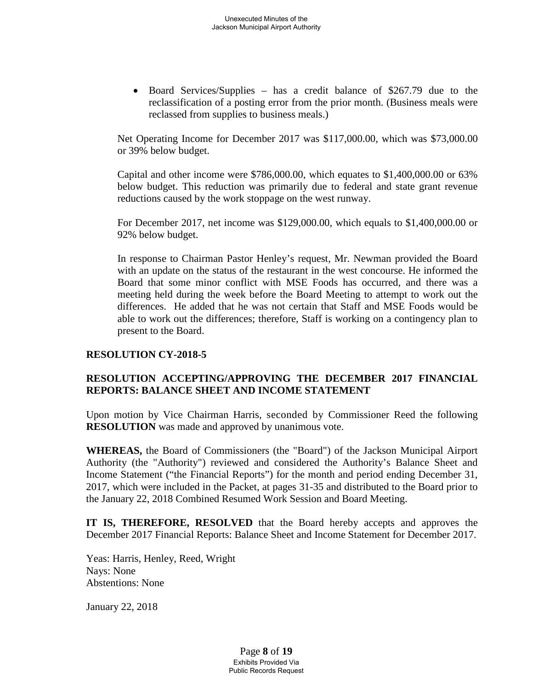• Board Services/Supplies – has a credit balance of \$267.79 due to the reclassification of a posting error from the prior month. (Business meals were reclassed from supplies to business meals.)

Net Operating Income for December 2017 was \$117,000.00, which was \$73,000.00 or 39% below budget.

Capital and other income were \$786,000.00, which equates to \$1,400,000.00 or 63% below budget. This reduction was primarily due to federal and state grant revenue reductions caused by the work stoppage on the west runway.

For December 2017, net income was \$129,000.00, which equals to \$1,400,000.00 or 92% below budget.

In response to Chairman Pastor Henley's request, Mr. Newman provided the Board with an update on the status of the restaurant in the west concourse. He informed the Board that some minor conflict with MSE Foods has occurred, and there was a meeting held during the week before the Board Meeting to attempt to work out the differences. He added that he was not certain that Staff and MSE Foods would be able to work out the differences; therefore, Staff is working on a contingency plan to present to the Board.

#### **RESOLUTION CY-2018-5**

### **RESOLUTION ACCEPTING/APPROVING THE DECEMBER 2017 FINANCIAL REPORTS: BALANCE SHEET AND INCOME STATEMENT**

Upon motion by Vice Chairman Harris, seconded by Commissioner Reed the following **RESOLUTION** was made and approved by unanimous vote.

**WHEREAS,** the Board of Commissioners (the "Board") of the Jackson Municipal Airport Authority (the "Authority") reviewed and considered the Authority's Balance Sheet and Income Statement ("the Financial Reports") for the month and period ending December 31, 2017, which were included in the Packet, at pages 31-35 and distributed to the Board prior to the January 22, 2018 Combined Resumed Work Session and Board Meeting.

**IT IS, THEREFORE, RESOLVED** that the Board hereby accepts and approves the December 2017 Financial Reports: Balance Sheet and Income Statement for December 2017.

Yeas: Harris, Henley, Reed, Wright Nays: None Abstentions: None

January 22, 2018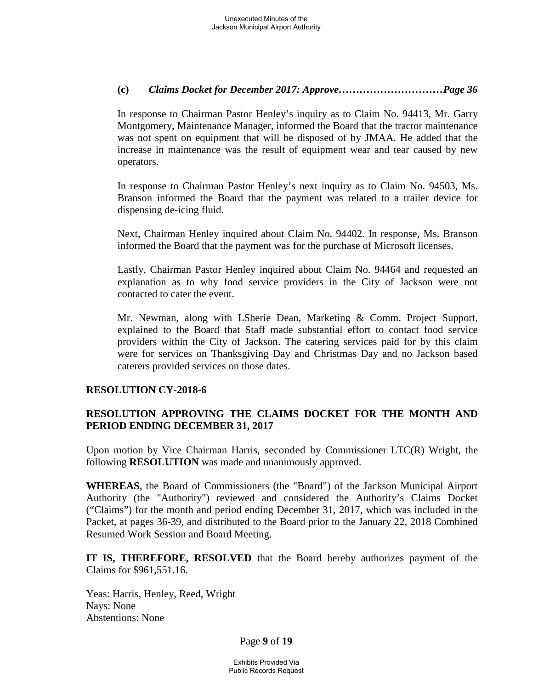### **(c)** *Claims Docket for December 2017: Approve…………………………Page 36*

In response to Chairman Pastor Henley's inquiry as to Claim No. 94413, Mr. Garry Montgomery, Maintenance Manager, informed the Board that the tractor maintenance was not spent on equipment that will be disposed of by JMAA. He added that the increase in maintenance was the result of equipment wear and tear caused by new operators.

In response to Chairman Pastor Henley's next inquiry as to Claim No. 94503, Ms. Branson informed the Board that the payment was related to a trailer device for dispensing de-icing fluid.

Next, Chairman Henley inquired about Claim No. 94402. In response, Ms. Branson informed the Board that the payment was for the purchase of Microsoft licenses.

Lastly, Chairman Pastor Henley inquired about Claim No. 94464 and requested an explanation as to why food service providers in the City of Jackson were not contacted to cater the event.

Mr. Newman, along with LSherie Dean, Marketing & Comm. Project Support, explained to the Board that Staff made substantial effort to contact food service providers within the City of Jackson. The catering services paid for by this claim were for services on Thanksgiving Day and Christmas Day and no Jackson based caterers provided services on those dates.

# **RESOLUTION CY-2018-6**

# **RESOLUTION APPROVING THE CLAIMS DOCKET FOR THE MONTH AND PERIOD ENDING DECEMBER 31, 2017**

Upon motion by Vice Chairman Harris, seconded by Commissioner LTC(R) Wright, the following **RESOLUTION** was made and unanimously approved.

**WHEREAS**, the Board of Commissioners (the "Board") of the Jackson Municipal Airport Authority (the "Authority") reviewed and considered the Authority's Claims Docket ("Claims") for the month and period ending December 31, 2017, which was included in the Packet, at pages 36-39, and distributed to the Board prior to the January 22, 2018 Combined Resumed Work Session and Board Meeting.

**IT IS, THEREFORE, RESOLVED** that the Board hereby authorizes payment of the Claims for \$961,551.16.

Yeas: Harris, Henley, Reed, Wright Nays: None Abstentions: None

Page **9** of **19**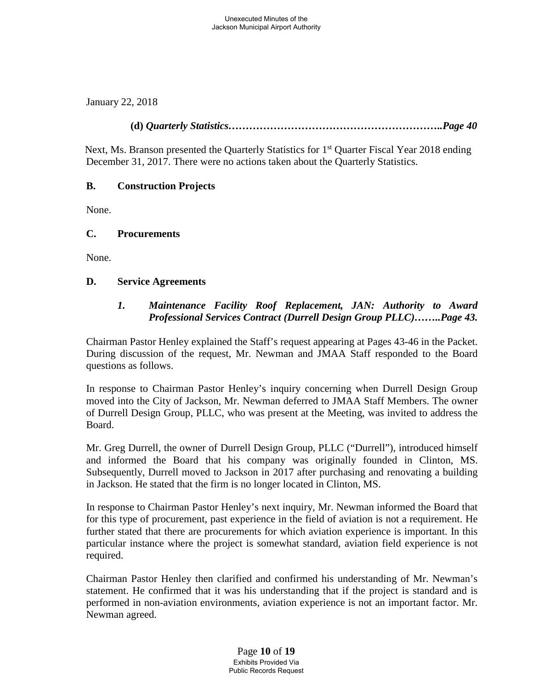January 22, 2018

**(d)** *Quarterly Statistics……………………………………………………..Page 40*

Next, Ms. Branson presented the Quarterly Statistics for 1<sup>st</sup> Quarter Fiscal Year 2018 ending December 31, 2017. There were no actions taken about the Quarterly Statistics.

# **B. Construction Projects**

None.

### **C. Procurements**

None.

### **D. Service Agreements**

# *1. Maintenance Facility Roof Replacement, JAN: Authority to Award Professional Services Contract (Durrell Design Group PLLC)……..Page 43.*

Chairman Pastor Henley explained the Staff's request appearing at Pages 43-46 in the Packet. During discussion of the request, Mr. Newman and JMAA Staff responded to the Board questions as follows.

In response to Chairman Pastor Henley's inquiry concerning when Durrell Design Group moved into the City of Jackson, Mr. Newman deferred to JMAA Staff Members. The owner of Durrell Design Group, PLLC, who was present at the Meeting, was invited to address the Board.

Mr. Greg Durrell, the owner of Durrell Design Group, PLLC ("Durrell"), introduced himself and informed the Board that his company was originally founded in Clinton, MS. Subsequently, Durrell moved to Jackson in 2017 after purchasing and renovating a building in Jackson. He stated that the firm is no longer located in Clinton, MS.

In response to Chairman Pastor Henley's next inquiry, Mr. Newman informed the Board that for this type of procurement, past experience in the field of aviation is not a requirement. He further stated that there are procurements for which aviation experience is important. In this particular instance where the project is somewhat standard, aviation field experience is not required.

Chairman Pastor Henley then clarified and confirmed his understanding of Mr. Newman's statement. He confirmed that it was his understanding that if the project is standard and is performed in non-aviation environments, aviation experience is not an important factor. Mr. Newman agreed.

> Page **10** of **19** Exhibits Provided Via Public Records Request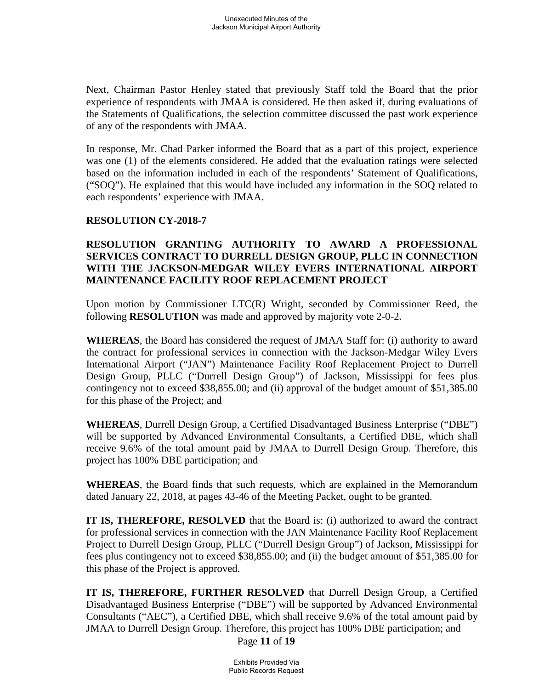Next, Chairman Pastor Henley stated that previously Staff told the Board that the prior experience of respondents with JMAA is considered. He then asked if, during evaluations of the Statements of Qualifications, the selection committee discussed the past work experience of any of the respondents with JMAA.

In response, Mr. Chad Parker informed the Board that as a part of this project, experience was one (1) of the elements considered. He added that the evaluation ratings were selected based on the information included in each of the respondents' Statement of Qualifications, ("SOQ"). He explained that this would have included any information in the SOQ related to each respondents' experience with JMAA.

# **RESOLUTION CY-2018-7**

# **RESOLUTION GRANTING AUTHORITY TO AWARD A PROFESSIONAL SERVICES CONTRACT TO DURRELL DESIGN GROUP, PLLC IN CONNECTION WITH THE JACKSON-MEDGAR WILEY EVERS INTERNATIONAL AIRPORT MAINTENANCE FACILITY ROOF REPLACEMENT PROJECT**

Upon motion by Commissioner LTC(R) Wright, seconded by Commissioner Reed, the following **RESOLUTION** was made and approved by majority vote 2-0-2.

**WHEREAS**, the Board has considered the request of JMAA Staff for: (i) authority to award the contract for professional services in connection with the Jackson-Medgar Wiley Evers International Airport ("JAN") Maintenance Facility Roof Replacement Project to Durrell Design Group, PLLC ("Durrell Design Group") of Jackson, Mississippi for fees plus contingency not to exceed \$38,855.00; and (ii) approval of the budget amount of \$51,385.00 for this phase of the Project; and

**WHEREAS**, Durrell Design Group, a Certified Disadvantaged Business Enterprise ("DBE") will be supported by Advanced Environmental Consultants, a Certified DBE, which shall receive 9.6% of the total amount paid by JMAA to Durrell Design Group. Therefore, this project has 100% DBE participation; and

**WHEREAS**, the Board finds that such requests, which are explained in the Memorandum dated January 22, 2018, at pages 43-46 of the Meeting Packet, ought to be granted.

**IT IS, THEREFORE, RESOLVED** that the Board is: (i) authorized to award the contract for professional services in connection with the JAN Maintenance Facility Roof Replacement Project to Durrell Design Group, PLLC ("Durrell Design Group") of Jackson, Mississippi for fees plus contingency not to exceed \$38,855.00; and (ii) the budget amount of \$51,385.00 for this phase of the Project is approved.

**IT IS, THEREFORE, FURTHER RESOLVED** that Durrell Design Group, a Certified Disadvantaged Business Enterprise ("DBE") will be supported by Advanced Environmental Consultants ("AEC"), a Certified DBE, which shall receive 9.6% of the total amount paid by JMAA to Durrell Design Group. Therefore, this project has 100% DBE participation; and

Page **11** of **19**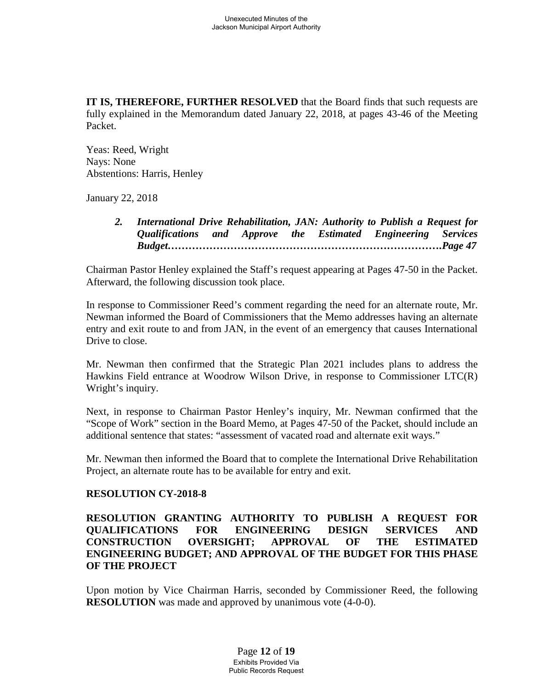**IT IS, THEREFORE, FURTHER RESOLVED** that the Board finds that such requests are fully explained in the Memorandum dated January 22, 2018, at pages 43-46 of the Meeting Packet.

Yeas: Reed, Wright Nays: None Abstentions: Harris, Henley

January 22, 2018

*2. International Drive Rehabilitation, JAN: Authority to Publish a Request for Qualifications and Approve the Estimated Engineering Services Budget…………………………………………………………………….Page 47*

Chairman Pastor Henley explained the Staff's request appearing at Pages 47-50 in the Packet. Afterward, the following discussion took place.

In response to Commissioner Reed's comment regarding the need for an alternate route, Mr. Newman informed the Board of Commissioners that the Memo addresses having an alternate entry and exit route to and from JAN, in the event of an emergency that causes International Drive to close.

Mr. Newman then confirmed that the Strategic Plan 2021 includes plans to address the Hawkins Field entrance at Woodrow Wilson Drive, in response to Commissioner LTC(R) Wright's inquiry.

Next, in response to Chairman Pastor Henley's inquiry, Mr. Newman confirmed that the "Scope of Work" section in the Board Memo, at Pages 47-50 of the Packet, should include an additional sentence that states: "assessment of vacated road and alternate exit ways."

Mr. Newman then informed the Board that to complete the International Drive Rehabilitation Project, an alternate route has to be available for entry and exit.

#### **RESOLUTION CY-2018-8**

### **RESOLUTION GRANTING AUTHORITY TO PUBLISH A REQUEST FOR QUALIFICATIONS FOR ENGINEERING DESIGN SERVICES AND CONSTRUCTION OVERSIGHT; APPROVAL OF THE ESTIMATED ENGINEERING BUDGET; AND APPROVAL OF THE BUDGET FOR THIS PHASE OF THE PROJECT**

Upon motion by Vice Chairman Harris, seconded by Commissioner Reed, the following **RESOLUTION** was made and approved by unanimous vote  $(4-0-0)$ .

> Page **12** of **19** Exhibits Provided Via Public Records Request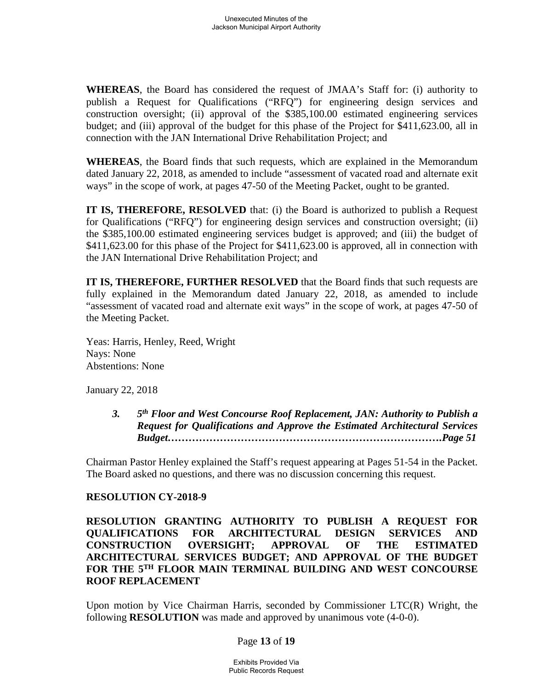**WHEREAS**, the Board has considered the request of JMAA's Staff for: (i) authority to publish a Request for Qualifications ("RFQ") for engineering design services and construction oversight; (ii) approval of the \$385,100.00 estimated engineering services budget; and (iii) approval of the budget for this phase of the Project for \$411,623.00, all in connection with the JAN International Drive Rehabilitation Project; and

**WHEREAS**, the Board finds that such requests, which are explained in the Memorandum dated January 22, 2018, as amended to include "assessment of vacated road and alternate exit ways" in the scope of work, at pages 47-50 of the Meeting Packet, ought to be granted.

**IT IS, THEREFORE, RESOLVED** that: (i) the Board is authorized to publish a Request for Qualifications ("RFQ") for engineering design services and construction oversight; (ii) the \$385,100.00 estimated engineering services budget is approved; and (iii) the budget of \$411,623.00 for this phase of the Project for \$411,623.00 is approved, all in connection with the JAN International Drive Rehabilitation Project; and

**IT IS, THEREFORE, FURTHER RESOLVED** that the Board finds that such requests are fully explained in the Memorandum dated January 22, 2018, as amended to include "assessment of vacated road and alternate exit ways" in the scope of work, at pages 47-50 of the Meeting Packet.

Yeas: Harris, Henley, Reed, Wright Nays: None Abstentions: None

January 22, 2018

*3. 5th Floor and West Concourse Roof Replacement, JAN: Authority to Publish a Request for Qualifications and Approve the Estimated Architectural Services Budget…………………………………………………………………….Page 51*

Chairman Pastor Henley explained the Staff's request appearing at Pages 51-54 in the Packet. The Board asked no questions, and there was no discussion concerning this request.

# **RESOLUTION CY-2018-9**

**RESOLUTION GRANTING AUTHORITY TO PUBLISH A REQUEST FOR QUALIFICATIONS FOR ARCHITECTURAL DESIGN SERVICES AND CONSTRUCTION OVERSIGHT; APPROVAL OF THE ESTIMATED ARCHITECTURAL SERVICES BUDGET; AND APPROVAL OF THE BUDGET FOR THE 5TH FLOOR MAIN TERMINAL BUILDING AND WEST CONCOURSE ROOF REPLACEMENT**

Upon motion by Vice Chairman Harris, seconded by Commissioner  $\text{LTC}(R)$  Wright, the following **RESOLUTION** was made and approved by unanimous vote (4-0-0).

#### Page **13** of **19**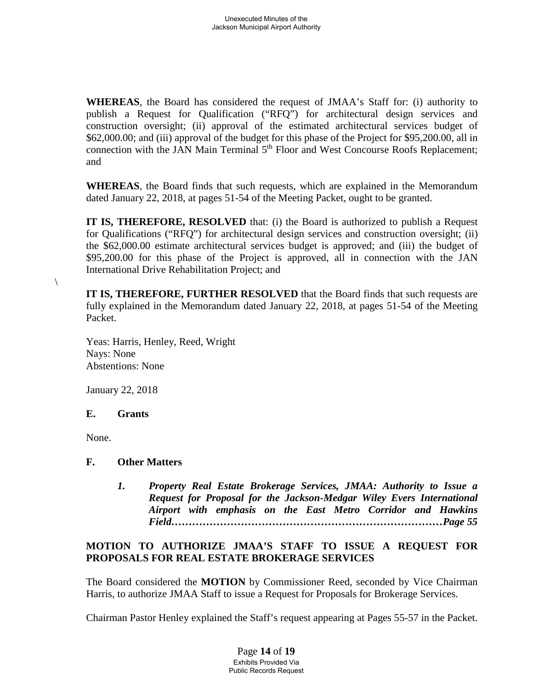**WHEREAS**, the Board has considered the request of JMAA's Staff for: (i) authority to publish a Request for Qualification ("RFQ") for architectural design services and construction oversight; (ii) approval of the estimated architectural services budget of \$62,000.00; and (iii) approval of the budget for this phase of the Project for \$95,200.00, all in connection with the JAN Main Terminal 5<sup>th</sup> Floor and West Concourse Roofs Replacement; and

**WHEREAS**, the Board finds that such requests, which are explained in the Memorandum dated January 22, 2018, at pages 51-54 of the Meeting Packet, ought to be granted.

**IT IS, THEREFORE, RESOLVED** that: (i) the Board is authorized to publish a Request for Qualifications ("RFQ") for architectural design services and construction oversight; (ii) the \$62,000.00 estimate architectural services budget is approved; and (iii) the budget of \$95,200.00 for this phase of the Project is approved, all in connection with the JAN International Drive Rehabilitation Project; and

**IT IS, THEREFORE, FURTHER RESOLVED** that the Board finds that such requests are fully explained in the Memorandum dated January 22, 2018, at pages 51-54 of the Meeting Packet.

Yeas: Harris, Henley, Reed, Wright Nays: None Abstentions: None

January 22, 2018

# **E. Grants**

None.

 $\setminus$ 

# **F. Other Matters**

*1. Property Real Estate Brokerage Services, JMAA: Authority to Issue a Request for Proposal for the Jackson-Medgar Wiley Evers International Airport with emphasis on the East Metro Corridor and Hawkins Field……………………………………………………………………Page 55*

# **MOTION TO AUTHORIZE JMAA'S STAFF TO ISSUE A REQUEST FOR PROPOSALS FOR REAL ESTATE BROKERAGE SERVICES**

The Board considered the **MOTION** by Commissioner Reed, seconded by Vice Chairman Harris, to authorize JMAA Staff to issue a Request for Proposals for Brokerage Services.

Chairman Pastor Henley explained the Staff's request appearing at Pages 55-57 in the Packet.

Page **14** of **19** Exhibits Provided Via Public Records Request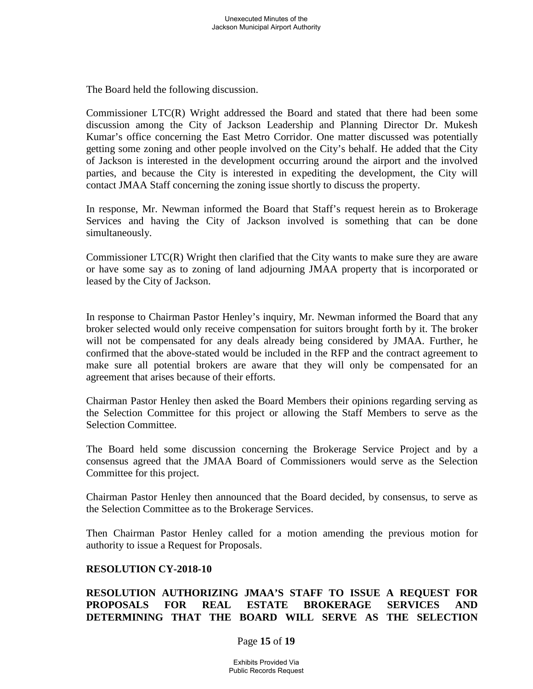The Board held the following discussion.

Commissioner LTC(R) Wright addressed the Board and stated that there had been some discussion among the City of Jackson Leadership and Planning Director Dr. Mukesh Kumar's office concerning the East Metro Corridor. One matter discussed was potentially getting some zoning and other people involved on the City's behalf. He added that the City of Jackson is interested in the development occurring around the airport and the involved parties, and because the City is interested in expediting the development, the City will contact JMAA Staff concerning the zoning issue shortly to discuss the property.

In response, Mr. Newman informed the Board that Staff's request herein as to Brokerage Services and having the City of Jackson involved is something that can be done simultaneously.

Commissioner LTC(R) Wright then clarified that the City wants to make sure they are aware or have some say as to zoning of land adjourning JMAA property that is incorporated or leased by the City of Jackson.

In response to Chairman Pastor Henley's inquiry, Mr. Newman informed the Board that any broker selected would only receive compensation for suitors brought forth by it. The broker will not be compensated for any deals already being considered by JMAA. Further, he confirmed that the above-stated would be included in the RFP and the contract agreement to make sure all potential brokers are aware that they will only be compensated for an agreement that arises because of their efforts.

Chairman Pastor Henley then asked the Board Members their opinions regarding serving as the Selection Committee for this project or allowing the Staff Members to serve as the Selection Committee.

The Board held some discussion concerning the Brokerage Service Project and by a consensus agreed that the JMAA Board of Commissioners would serve as the Selection Committee for this project.

Chairman Pastor Henley then announced that the Board decided, by consensus, to serve as the Selection Committee as to the Brokerage Services.

Then Chairman Pastor Henley called for a motion amending the previous motion for authority to issue a Request for Proposals.

#### **RESOLUTION CY-2018-10**

# **RESOLUTION AUTHORIZING JMAA'S STAFF TO ISSUE A REQUEST FOR PROPOSALS FOR REAL ESTATE BROKERAGE SERVICES AND DETERMINING THAT THE BOARD WILL SERVE AS THE SELECTION**

#### Page **15** of **19**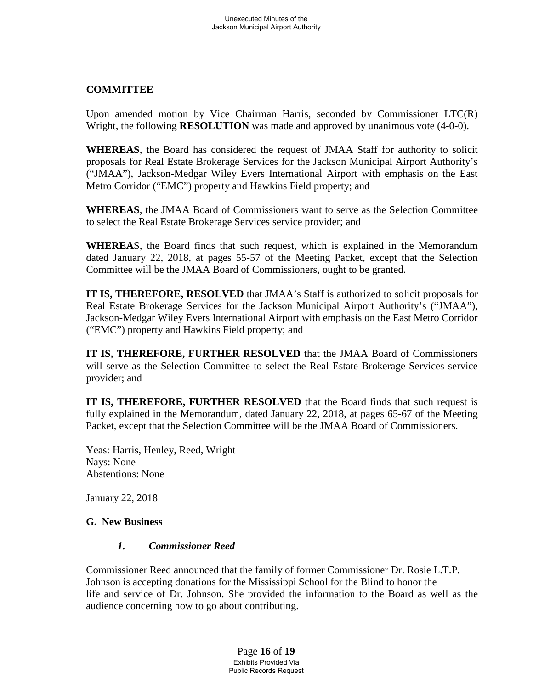### **COMMITTEE**

Upon amended motion by Vice Chairman Harris, seconded by Commissioner LTC(R) Wright, the following **RESOLUTION** was made and approved by unanimous vote (4-0-0).

**WHEREAS**, the Board has considered the request of JMAA Staff for authority to solicit proposals for Real Estate Brokerage Services for the Jackson Municipal Airport Authority's ("JMAA"), Jackson-Medgar Wiley Evers International Airport with emphasis on the East Metro Corridor ("EMC") property and Hawkins Field property; and

**WHEREAS**, the JMAA Board of Commissioners want to serve as the Selection Committee to select the Real Estate Brokerage Services service provider; and

**WHEREA**S, the Board finds that such request, which is explained in the Memorandum dated January 22, 2018, at pages 55-57 of the Meeting Packet, except that the Selection Committee will be the JMAA Board of Commissioners, ought to be granted.

**IT IS, THEREFORE, RESOLVED** that JMAA's Staff is authorized to solicit proposals for Real Estate Brokerage Services for the Jackson Municipal Airport Authority's ("JMAA"), Jackson-Medgar Wiley Evers International Airport with emphasis on the East Metro Corridor ("EMC") property and Hawkins Field property; and

**IT IS, THEREFORE, FURTHER RESOLVED** that the JMAA Board of Commissioners will serve as the Selection Committee to select the Real Estate Brokerage Services service provider; and

**IT IS, THEREFORE, FURTHER RESOLVED** that the Board finds that such request is fully explained in the Memorandum, dated January 22, 2018, at pages 65-67 of the Meeting Packet, except that the Selection Committee will be the JMAA Board of Commissioners.

Yeas: Harris, Henley, Reed, Wright Nays: None Abstentions: None

January 22, 2018

#### **G. New Business**

#### *1. Commissioner Reed*

Commissioner Reed announced that the family of former Commissioner Dr. Rosie L.T.P. Johnson is accepting donations for the Mississippi School for the Blind to honor the life and service of Dr. Johnson. She provided the information to the Board as well as the audience concerning how to go about contributing.

> Page **16** of **19** Exhibits Provided Via Public Records Request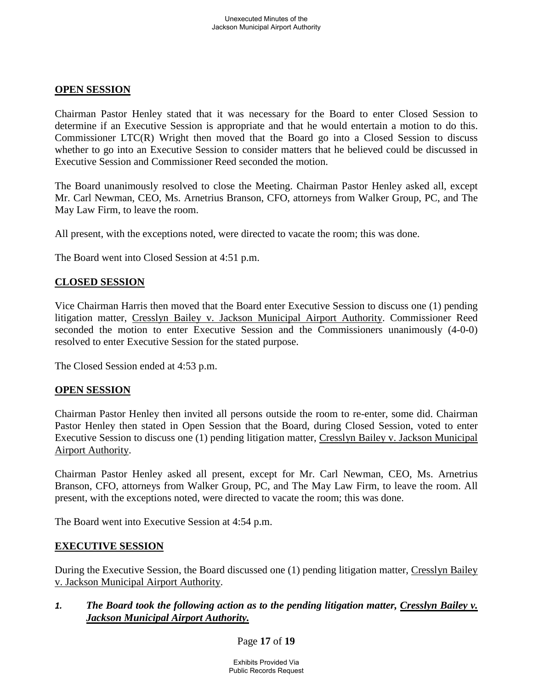### **OPEN SESSION**

Chairman Pastor Henley stated that it was necessary for the Board to enter Closed Session to determine if an Executive Session is appropriate and that he would entertain a motion to do this. Commissioner LTC(R) Wright then moved that the Board go into a Closed Session to discuss whether to go into an Executive Session to consider matters that he believed could be discussed in Executive Session and Commissioner Reed seconded the motion.

The Board unanimously resolved to close the Meeting. Chairman Pastor Henley asked all, except Mr. Carl Newman, CEO, Ms. Arnetrius Branson, CFO, attorneys from Walker Group, PC, and The May Law Firm, to leave the room.

All present, with the exceptions noted, were directed to vacate the room; this was done.

The Board went into Closed Session at 4:51 p.m.

### **CLOSED SESSION**

Vice Chairman Harris then moved that the Board enter Executive Session to discuss one (1) pending litigation matter, Cresslyn Bailey v. Jackson Municipal Airport Authority. Commissioner Reed seconded the motion to enter Executive Session and the Commissioners unanimously (4-0-0) resolved to enter Executive Session for the stated purpose.

The Closed Session ended at 4:53 p.m.

#### **OPEN SESSION**

Chairman Pastor Henley then invited all persons outside the room to re-enter, some did. Chairman Pastor Henley then stated in Open Session that the Board, during Closed Session, voted to enter Executive Session to discuss one (1) pending litigation matter, Cresslyn Bailey v. Jackson Municipal Airport Authority.

Chairman Pastor Henley asked all present, except for Mr. Carl Newman, CEO, Ms. Arnetrius Branson, CFO, attorneys from Walker Group, PC, and The May Law Firm, to leave the room. All present, with the exceptions noted, were directed to vacate the room; this was done.

The Board went into Executive Session at 4:54 p.m.

#### **EXECUTIVE SESSION**

During the Executive Session, the Board discussed one (1) pending litigation matter, Cresslyn Bailey v. Jackson Municipal Airport Authority.

### *1. The Board took the following action as to the pending litigation matter, Cresslyn Bailey v. Jackson Municipal Airport Authority.*

#### Page **17** of **19**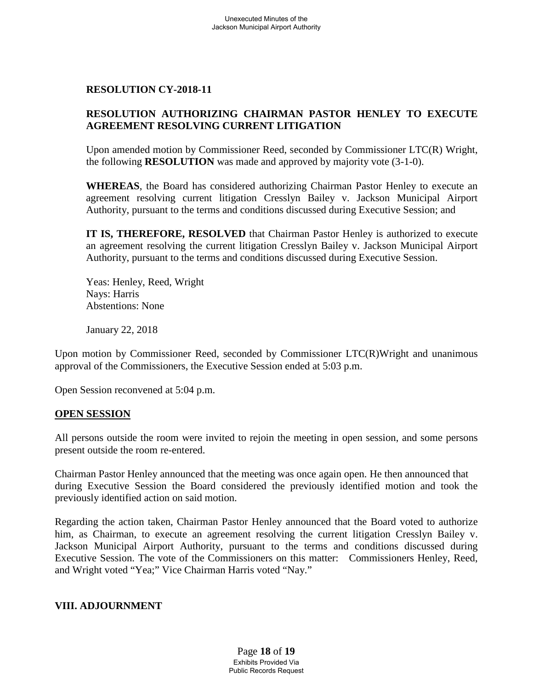### **RESOLUTION CY-2018-11**

### **RESOLUTION AUTHORIZING CHAIRMAN PASTOR HENLEY TO EXECUTE AGREEMENT RESOLVING CURRENT LITIGATION**

Upon amended motion by Commissioner Reed, seconded by Commissioner LTC(R) Wright, the following **RESOLUTION** was made and approved by majority vote (3-1-0).

**WHEREAS**, the Board has considered authorizing Chairman Pastor Henley to execute an agreement resolving current litigation Cresslyn Bailey v. Jackson Municipal Airport Authority, pursuant to the terms and conditions discussed during Executive Session; and

**IT IS, THEREFORE, RESOLVED** that Chairman Pastor Henley is authorized to execute an agreement resolving the current litigation Cresslyn Bailey v. Jackson Municipal Airport Authority, pursuant to the terms and conditions discussed during Executive Session.

Yeas: Henley, Reed, Wright Nays: Harris Abstentions: None

January 22, 2018

Upon motion by Commissioner Reed, seconded by Commissioner LTC(R)Wright and unanimous approval of the Commissioners, the Executive Session ended at 5:03 p.m.

Open Session reconvened at 5:04 p.m.

#### **OPEN SESSION**

All persons outside the room were invited to rejoin the meeting in open session, and some persons present outside the room re-entered.

Chairman Pastor Henley announced that the meeting was once again open. He then announced that during Executive Session the Board considered the previously identified motion and took the previously identified action on said motion.

Regarding the action taken, Chairman Pastor Henley announced that the Board voted to authorize him, as Chairman, to execute an agreement resolving the current litigation Cresslyn Bailey v. Jackson Municipal Airport Authority, pursuant to the terms and conditions discussed during Executive Session. The vote of the Commissioners on this matter: Commissioners Henley, Reed, and Wright voted "Yea;" Vice Chairman Harris voted "Nay."

#### **VIII. ADJOURNMENT**

Page **18** of **19** Exhibits Provided Via Public Records Request